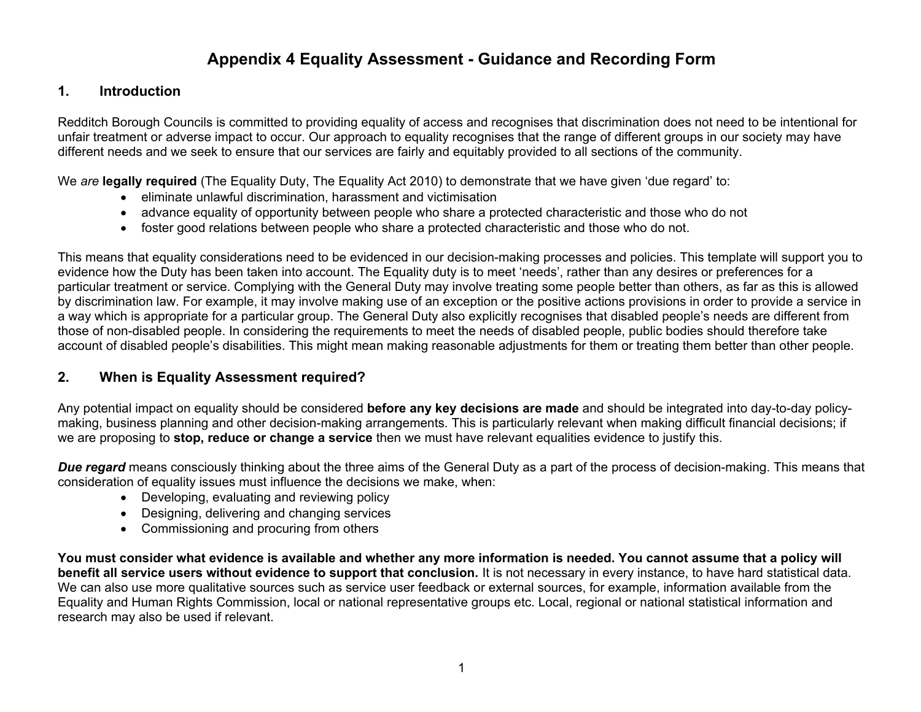# **Appendix 4 Equality Assessment - Guidance and Recording Form**

#### **1. Introduction**

Redditch Borough Councils is committed to providing equality of access and recognises that discrimination does not need to be intentional for unfair treatment or adverse impact to occur. Our approach to equality recognises that the range of different groups in our society may have different needs and we seek to ensure that our services are fairly and equitably provided to all sections of the community.

We *are* **legally required** (The Equality Duty, The Equality Act 2010) to demonstrate that we have given 'due regard' to:

- eliminate unlawful discrimination, harassment and victimisation
- advance equality of opportunity between people who share a protected characteristic and those who do not
- foster good relations between people who share a protected characteristic and those who do not.

This means that equality considerations need to be evidenced in our decision-making processes and policies. This template will support you to evidence how the Duty has been taken into account. The Equality duty is to meet 'needs', rather than any desires or preferences for a particular treatment or service. Complying with the General Duty may involve treating some people better than others, as far as this is allowed by discrimination law. For example, it may involve making use of an exception or the positive actions provisions in order to provide a service in a way which is appropriate for a particular group. The General Duty also explicitly recognises that disabled people's needs are different from those of non-disabled people. In considering the requirements to meet the needs of disabled people, public bodies should therefore take account of disabled people's disabilities. This might mean making reasonable adjustments for them or treating them better than other people.

#### **2. When is Equality Assessment required?**

Any potential impact on equality should be considered **before any key decisions are made** and should be integrated into day-to-day policymaking, business planning and other decision-making arrangements. This is particularly relevant when making difficult financial decisions; if we are proposing to **stop, reduce or change a service** then we must have relevant equalities evidence to justify this.

*Due regard* means consciously thinking about the three aims of the General Duty as a part of the process of decision-making. This means that consideration of equality issues must influence the decisions we make, when:

- Developing, evaluating and reviewing policy
- Designing, delivering and changing services
- Commissioning and procuring from others

You must consider what evidence is available and whether any more information is needed. You cannot assume that a policy will **benefit all service users without evidence to support that conclusion.** It is not necessary in every instance, to have hard statistical data. We can also use more qualitative sources such as service user feedback or external sources, for example, information available from the Equality and Human Rights Commission, local or national representative groups etc. Local, regional or national statistical information and research may also be used if relevant.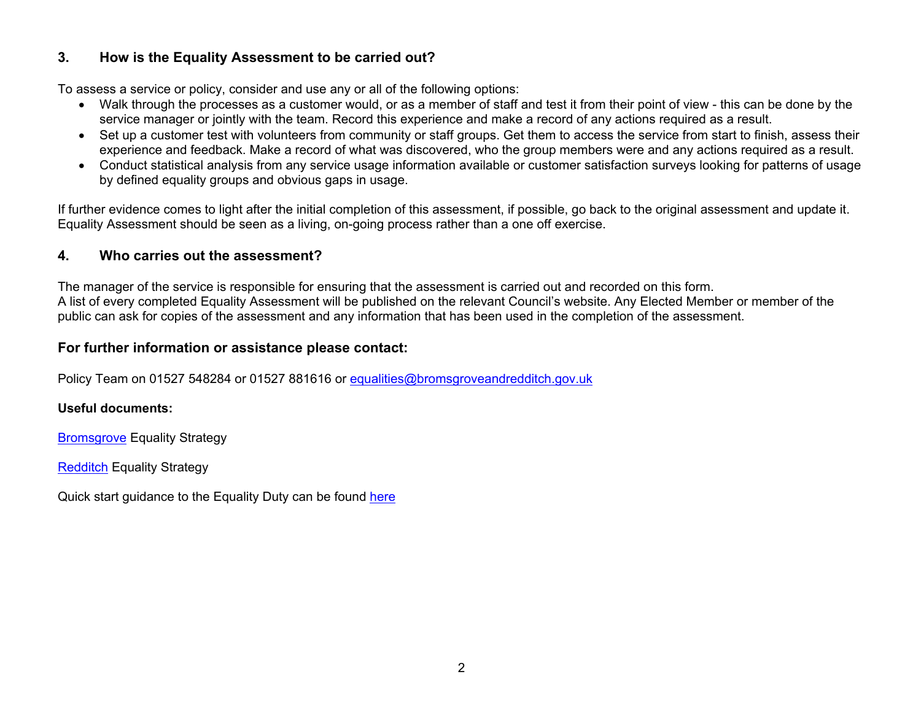## **3. How is the Equality Assessment to be carried out?**

To assess a service or policy, consider and use any or all of the following options:

- Walk through the processes as a customer would, or as a member of staff and test it from their point of view this can be done by the service manager or jointly with the team. Record this experience and make a record of any actions required as a result.
- Set up a customer test with volunteers from community or staff groups. Get them to access the service from start to finish, assess their experience and feedback. Make a record of what was discovered, who the group members were and any actions required as a result.
- Conduct statistical analysis from any service usage information available or customer satisfaction surveys looking for patterns of usage by defined equality groups and obvious gaps in usage.

If further evidence comes to light after the initial completion of this assessment, if possible, go back to the original assessment and update it. Equality Assessment should be seen as a living, on-going process rather than a one off exercise.

## **4. Who carries out the assessment?**

The manager of the service is responsible for ensuring that the assessment is carried out and recorded on this form. A list of every completed Equality Assessment will be published on the relevant Council's website. Any Elected Member or member of the public can ask for copies of the assessment and any information that has been used in the completion of the assessment.

## **For further information or assistance please contact:**

Policy Team on 01527 548284 or 01527 881616 or [equalities@bromsgroveandredditch.gov.uk](mailto:equalities@bromsgroveandredditch.gov.uk)

#### **Useful documents:**

[Bromsgrove](https://www.bromsgrove.gov.uk/media/3430250/Bromsgrove-Equality-Strategy-2017-2020.pdf) Equality Strategy

[Redditch](https://www.redditchbc.gov.uk/media/3430256/Redditch-Equality-Strategy-2017-2020.pdf) Equality Strategy

Quick start guidance to the Equality Duty can be found [here](https://assets.publishing.service.gov.uk/government/uploads/system/uploads/attachment_data/file/85041/equality-duty.pdf)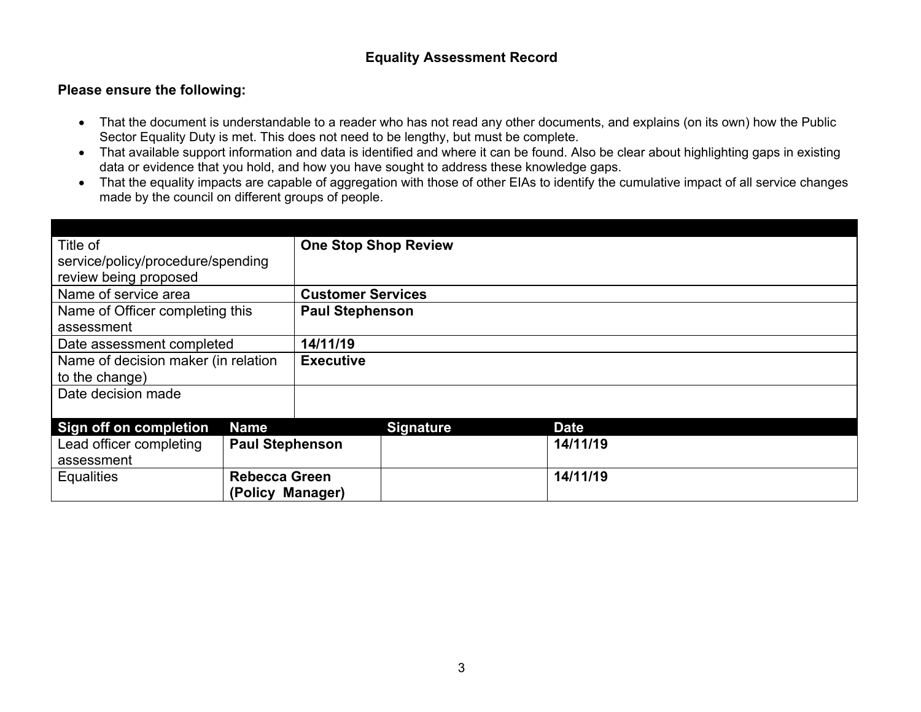#### **Equality Assessment Record**

#### **Please ensure the following:**

- That the document is understandable to a reader who has not read any other documents, and explains (on its own) how the Public Sector Equality Duty is met. This does not need to be lengthy, but must be complete.
- That available support information and data is identified and where it can be found. Also be clear about highlighting gaps in existing data or evidence that you hold, and how you have sought to address these knowledge gaps.
- That the equality impacts are capable of aggregation with those of other EIAs to identify the cumulative impact of all service changes made by the council on different groups of people.

| Title of                            |                        | <b>One Stop Shop Review</b> |                  |             |  |
|-------------------------------------|------------------------|-----------------------------|------------------|-------------|--|
| service/policy/procedure/spending   |                        |                             |                  |             |  |
| review being proposed               |                        |                             |                  |             |  |
| Name of service area                |                        | <b>Customer Services</b>    |                  |             |  |
| Name of Officer completing this     |                        | <b>Paul Stephenson</b>      |                  |             |  |
| assessment                          |                        |                             |                  |             |  |
| Date assessment completed           |                        | 14/11/19                    |                  |             |  |
| Name of decision maker (in relation |                        | <b>Executive</b>            |                  |             |  |
| to the change)                      |                        |                             |                  |             |  |
| Date decision made                  |                        |                             |                  |             |  |
|                                     |                        |                             |                  |             |  |
| Sign off on completion              | <b>Name</b>            |                             | <b>Signature</b> | <b>Date</b> |  |
| Lead officer completing             | <b>Paul Stephenson</b> |                             |                  | 14/11/19    |  |
| assessment                          |                        |                             |                  |             |  |
| <b>Equalities</b>                   | <b>Rebecca Green</b>   |                             |                  | 14/11/19    |  |
|                                     | (Policy Manager)       |                             |                  |             |  |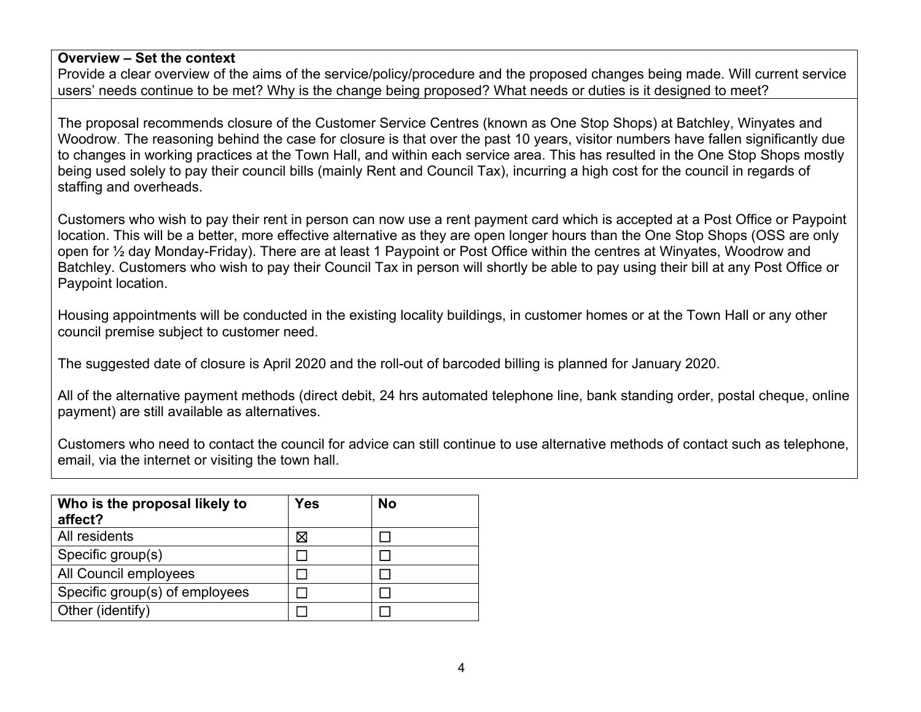## **Overview – Set the context**

Provide a clear overview of the aims of the service/policy/procedure and the proposed changes being made. Will current service users' needs continue to be met? Why is the change being proposed? What needs or duties is it designed to meet?

The proposal recommends closure of the Customer Service Centres (known as One Stop Shops) at Batchley, Winyates and Woodrow. The reasoning behind the case for closure is that over the past 10 years, visitor numbers have fallen significantly due to changes in working practices at the Town Hall, and within each service area. This has resulted in the One Stop Shops mostly being used solely to pay their council bills (mainly Rent and Council Tax), incurring a high cost for the council in regards of staffing and overheads.

Customers who wish to pay their rent in person can now use a rent payment card which is accepted at a Post Office or Paypoint location. This will be a better, more effective alternative as they are open longer hours than the One Stop Shops (OSS are only open for ½ day Monday-Friday). There are at least 1 Paypoint or Post Office within the centres at Winyates, Woodrow and Batchley. Customers who wish to pay their Council Tax in person will shortly be able to pay using their bill at any Post Office or Paypoint location.

Housing appointments will be conducted in the existing locality buildings, in customer homes or at the Town Hall or any other council premise subject to customer need.

The suggested date of closure is April 2020 and the roll-out of barcoded billing is planned for January 2020.

All of the alternative payment methods (direct debit, 24 hrs automated telephone line, bank standing order, postal cheque, online payment) are still available as alternatives.

Customers who need to contact the council for advice can still continue to use alternative methods of contact such as telephone, email, via the internet or visiting the town hall.

| Who is the proposal likely to<br>affect? | <b>Yes</b> | No |
|------------------------------------------|------------|----|
| All residents                            | ⋈          |    |
| Specific group(s)                        |            |    |
| All Council employees                    |            |    |
| Specific group(s) of employees           |            |    |
| Other (identify)                         |            |    |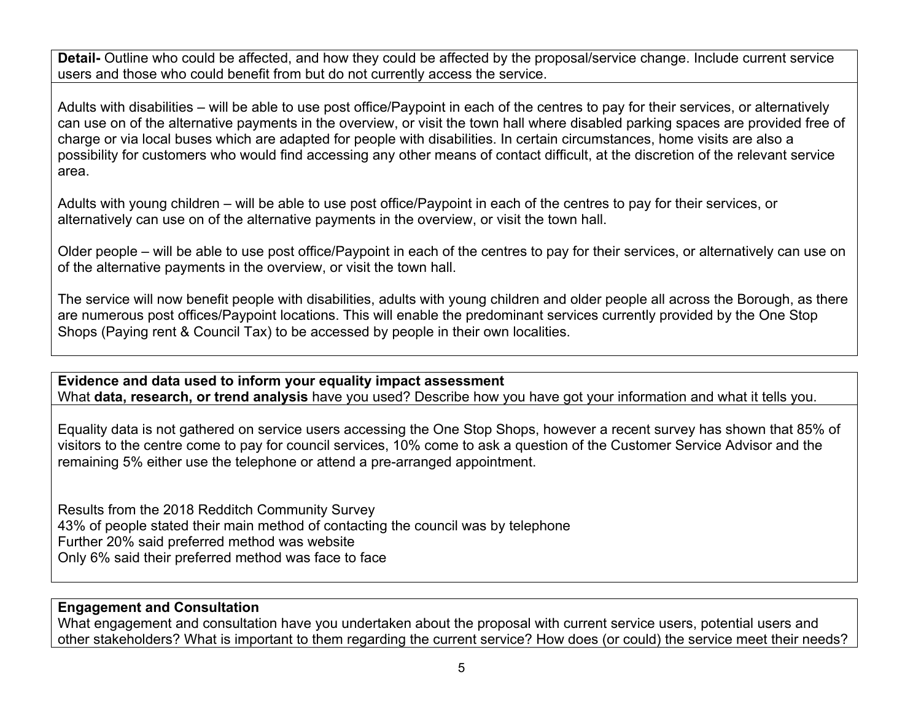**Detail-** Outline who could be affected, and how they could be affected by the proposal/service change. Include current service users and those who could benefit from but do not currently access the service.

Adults with disabilities – will be able to use post office/Paypoint in each of the centres to pay for their services, or alternatively can use on of the alternative payments in the overview, or visit the town hall where disabled parking spaces are provided free of charge or via local buses which are adapted for people with disabilities. In certain circumstances, home visits are also a possibility for customers who would find accessing any other means of contact difficult, at the discretion of the relevant service area.

Adults with young children – will be able to use post office/Paypoint in each of the centres to pay for their services, or alternatively can use on of the alternative payments in the overview, or visit the town hall.

Older people – will be able to use post office/Paypoint in each of the centres to pay for their services, or alternatively can use on of the alternative payments in the overview, or visit the town hall.

The service will now benefit people with disabilities, adults with young children and older people all across the Borough, as there are numerous post offices/Paypoint locations. This will enable the predominant services currently provided by the One Stop Shops (Paying rent & Council Tax) to be accessed by people in their own localities.

**Evidence and data used to inform your equality impact assessment** What **data, research, or trend analysis** have you used? Describe how you have got your information and what it tells you.

Equality data is not gathered on service users accessing the One Stop Shops, however a recent survey has shown that 85% of visitors to the centre come to pay for council services, 10% come to ask a question of the Customer Service Advisor and the remaining 5% either use the telephone or attend a pre-arranged appointment.

Results from the 2018 Redditch Community Survey 43% of people stated their main method of contacting the council was by telephone Further 20% said preferred method was website Only 6% said their preferred method was face to face

## **Engagement and Consultation**

What engagement and consultation have you undertaken about the proposal with current service users, potential users and other stakeholders? What is important to them regarding the current service? How does (or could) the service meet their needs?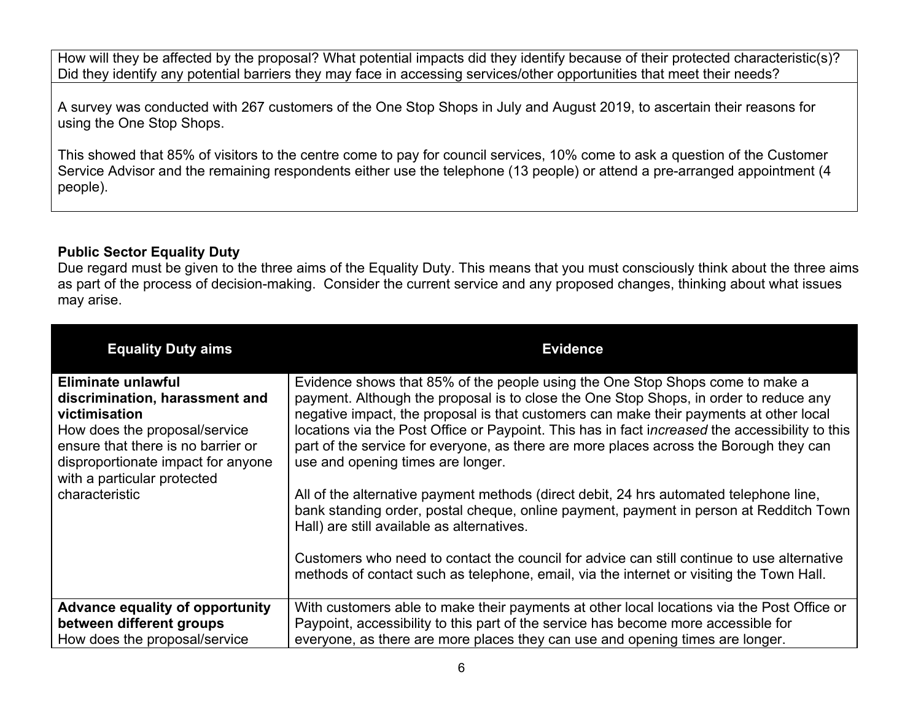How will they be affected by the proposal? What potential impacts did they identify because of their protected characteristic(s)? Did they identify any potential barriers they may face in accessing services/other opportunities that meet their needs?

A survey was conducted with 267 customers of the One Stop Shops in July and August 2019, to ascertain their reasons for using the One Stop Shops.

This showed that 85% of visitors to the centre come to pay for council services, 10% come to ask a question of the Customer Service Advisor and the remaining respondents either use the telephone (13 people) or attend a pre-arranged appointment (4 people).

## **Public Sector Equality Duty**

Due regard must be given to the three aims of the Equality Duty. This means that you must consciously think about the three aims as part of the process of decision-making. Consider the current service and any proposed changes, thinking about what issues may arise.

| <b>Equality Duty aims</b>                                                                                                                                                                                                           | <b>Evidence</b>                                                                                                                                                                                                                                                                                                                                                                                                                                                                                                                                                                                                                                                                                                                                                                                                                                                                                                                |
|-------------------------------------------------------------------------------------------------------------------------------------------------------------------------------------------------------------------------------------|--------------------------------------------------------------------------------------------------------------------------------------------------------------------------------------------------------------------------------------------------------------------------------------------------------------------------------------------------------------------------------------------------------------------------------------------------------------------------------------------------------------------------------------------------------------------------------------------------------------------------------------------------------------------------------------------------------------------------------------------------------------------------------------------------------------------------------------------------------------------------------------------------------------------------------|
| Eliminate unlawful<br>discrimination, harassment and<br>victimisation<br>How does the proposal/service<br>ensure that there is no barrier or<br>disproportionate impact for anyone<br>with a particular protected<br>characteristic | Evidence shows that 85% of the people using the One Stop Shops come to make a<br>payment. Although the proposal is to close the One Stop Shops, in order to reduce any<br>negative impact, the proposal is that customers can make their payments at other local<br>locations via the Post Office or Paypoint. This has in fact increased the accessibility to this<br>part of the service for everyone, as there are more places across the Borough they can<br>use and opening times are longer.<br>All of the alternative payment methods (direct debit, 24 hrs automated telephone line,<br>bank standing order, postal cheque, online payment, payment in person at Redditch Town<br>Hall) are still available as alternatives.<br>Customers who need to contact the council for advice can still continue to use alternative<br>methods of contact such as telephone, email, via the internet or visiting the Town Hall. |
|                                                                                                                                                                                                                                     |                                                                                                                                                                                                                                                                                                                                                                                                                                                                                                                                                                                                                                                                                                                                                                                                                                                                                                                                |
| <b>Advance equality of opportunity</b><br>between different groups                                                                                                                                                                  | With customers able to make their payments at other local locations via the Post Office or<br>Paypoint, accessibility to this part of the service has become more accessible for                                                                                                                                                                                                                                                                                                                                                                                                                                                                                                                                                                                                                                                                                                                                               |
| How does the proposal/service                                                                                                                                                                                                       | everyone, as there are more places they can use and opening times are longer.                                                                                                                                                                                                                                                                                                                                                                                                                                                                                                                                                                                                                                                                                                                                                                                                                                                  |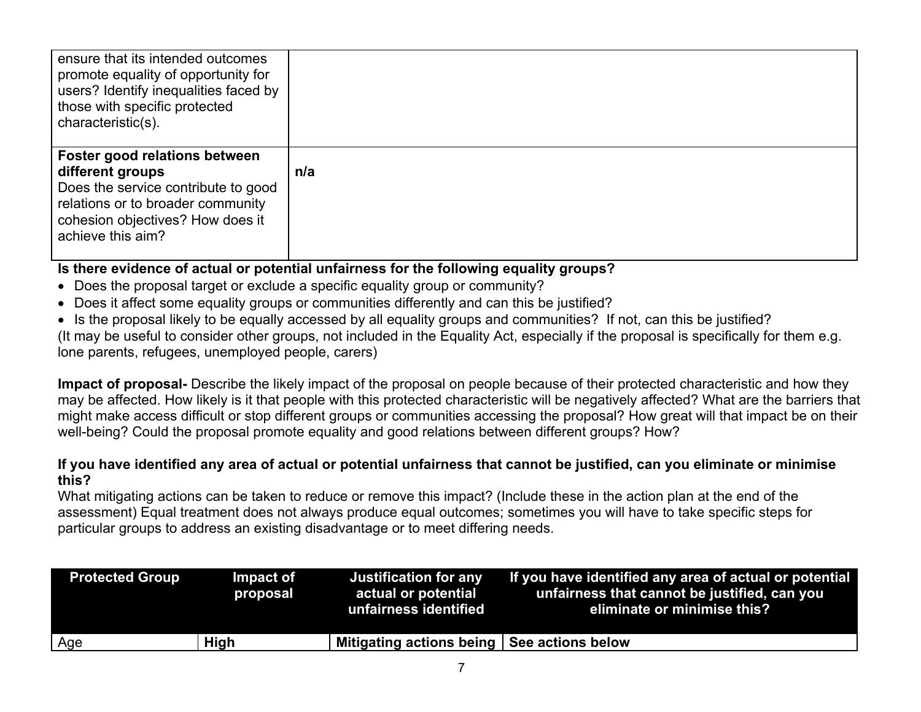| ensure that its intended outcomes<br>promote equality of opportunity for<br>users? Identify inequalities faced by<br>those with specific protected<br>characteristic(s).               |     |
|----------------------------------------------------------------------------------------------------------------------------------------------------------------------------------------|-----|
| Foster good relations between<br>different groups<br>Does the service contribute to good<br>relations or to broader community<br>cohesion objectives? How does it<br>achieve this aim? | n/a |

## **Is there evidence of actual or potential unfairness for the following equality groups?**

- Does the proposal target or exclude a specific equality group or community?
- Does it affect some equality groups or communities differently and can this be justified?
- Is the proposal likely to be equally accessed by all equality groups and communities? If not, can this be justified?

(It may be useful to consider other groups, not included in the Equality Act, especially if the proposal is specifically for them e.g. lone parents, refugees, unemployed people, carers)

**Impact of proposal-** Describe the likely impact of the proposal on people because of their protected characteristic and how they may be affected. How likely is it that people with this protected characteristic will be negatively affected? What are the barriers that might make access difficult or stop different groups or communities accessing the proposal? How great will that impact be on their well-being? Could the proposal promote equality and good relations between different groups? How?

#### If you have identified any area of actual or potential unfairness that cannot be justified, can you eliminate or minimise **this?**

What mitigating actions can be taken to reduce or remove this impact? (Include these in the action plan at the end of the assessment) Equal treatment does not always produce equal outcomes; sometimes you will have to take specific steps for particular groups to address an existing disadvantage or to meet differing needs.

| <b>Protected Group</b> | Impact of<br>proposal | <b>Justification for any</b><br>actual or potential<br>unfairness identified | If you have identified any area of actual or potential<br>unfairness that cannot be justified, can you<br>eliminate or minimise this? |
|------------------------|-----------------------|------------------------------------------------------------------------------|---------------------------------------------------------------------------------------------------------------------------------------|
| Age                    | <b>High</b>           | Mitigating actions being See actions below                                   |                                                                                                                                       |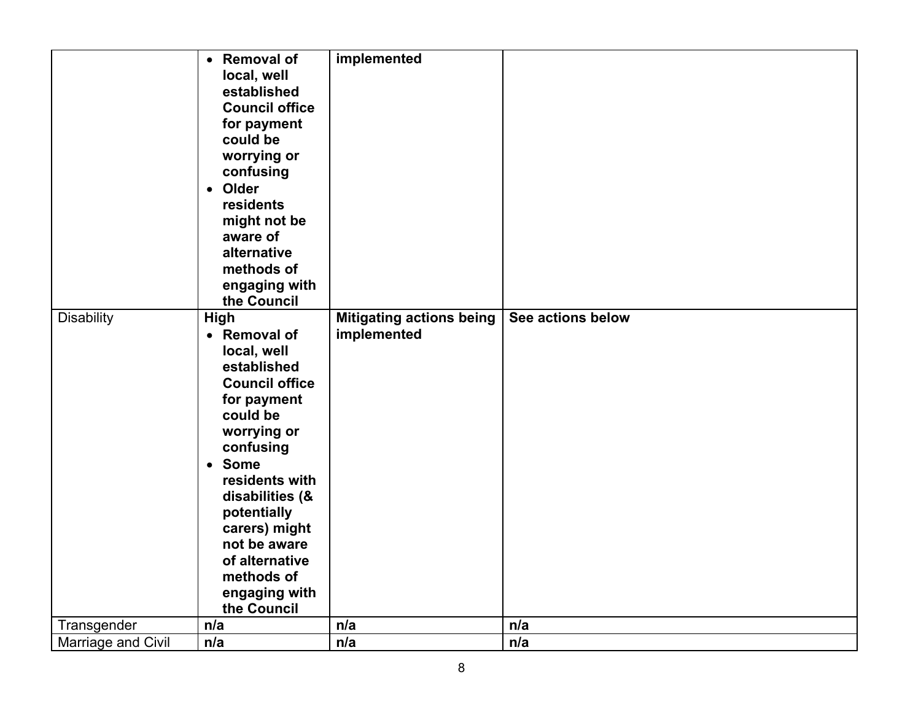|                    | • Removal of<br>local, well<br>established<br><b>Council office</b><br>for payment<br>could be<br>worrying or<br>confusing<br>• Older<br>residents<br>might not be<br>aware of<br>alternative<br>methods of<br>engaging with<br>the Council | implemented                                    |                   |
|--------------------|---------------------------------------------------------------------------------------------------------------------------------------------------------------------------------------------------------------------------------------------|------------------------------------------------|-------------------|
| <b>Disability</b>  | High<br>• Removal of                                                                                                                                                                                                                        | <b>Mitigating actions being</b><br>implemented | See actions below |
|                    | local, well<br>established                                                                                                                                                                                                                  |                                                |                   |
|                    | <b>Council office</b>                                                                                                                                                                                                                       |                                                |                   |
|                    | for payment                                                                                                                                                                                                                                 |                                                |                   |
|                    | could be                                                                                                                                                                                                                                    |                                                |                   |
|                    | worrying or<br>confusing                                                                                                                                                                                                                    |                                                |                   |
|                    | • Some                                                                                                                                                                                                                                      |                                                |                   |
|                    | residents with                                                                                                                                                                                                                              |                                                |                   |
|                    | disabilities (&<br>potentially                                                                                                                                                                                                              |                                                |                   |
|                    | carers) might                                                                                                                                                                                                                               |                                                |                   |
|                    | not be aware                                                                                                                                                                                                                                |                                                |                   |
|                    | of alternative                                                                                                                                                                                                                              |                                                |                   |
|                    | methods of<br>engaging with                                                                                                                                                                                                                 |                                                |                   |
|                    | the Council                                                                                                                                                                                                                                 |                                                |                   |
| Transgender        | n/a                                                                                                                                                                                                                                         | n/a                                            | n/a               |
| Marriage and Civil | n/a                                                                                                                                                                                                                                         | n/a                                            | n/a               |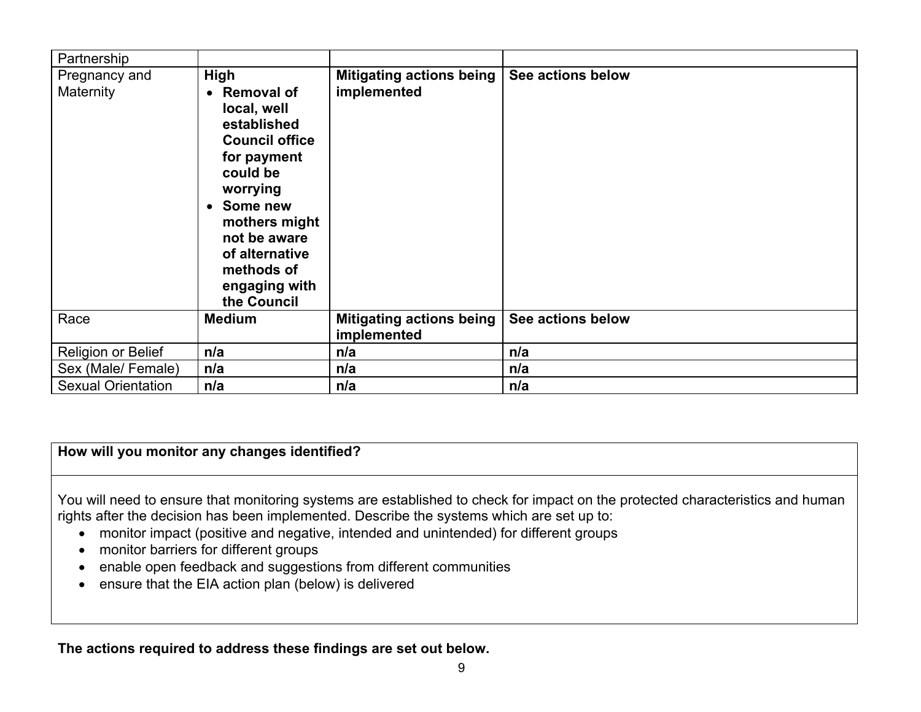| Partnership                |                                                                                                                                                                                                                                   |                                         |                   |
|----------------------------|-----------------------------------------------------------------------------------------------------------------------------------------------------------------------------------------------------------------------------------|-----------------------------------------|-------------------|
| Pregnancy and<br>Maternity | High<br>• Removal of<br>local, well<br>established<br><b>Council office</b><br>for payment<br>could be<br>worrying<br>• Some new<br>mothers might<br>not be aware<br>of alternative<br>methods of<br>engaging with<br>the Council | Mitigating actions being<br>implemented | See actions below |
| Race                       | <b>Medium</b>                                                                                                                                                                                                                     | Mitigating actions being<br>implemented | See actions below |
| Religion or Belief         | n/a                                                                                                                                                                                                                               | n/a                                     | n/a               |
| Sex (Male/ Female)         | n/a                                                                                                                                                                                                                               | n/a                                     | n/a               |
| <b>Sexual Orientation</b>  | n/a                                                                                                                                                                                                                               | n/a                                     | n/a               |

### **How will you monitor any changes identified?**

You will need to ensure that monitoring systems are established to check for impact on the protected characteristics and human rights after the decision has been implemented. Describe the systems which are set up to:

- monitor impact (positive and negative, intended and unintended) for different groups
- monitor barriers for different groups
- enable open feedback and suggestions from different communities
- ensure that the EIA action plan (below) is delivered

**The actions required to address these findings are set out below.**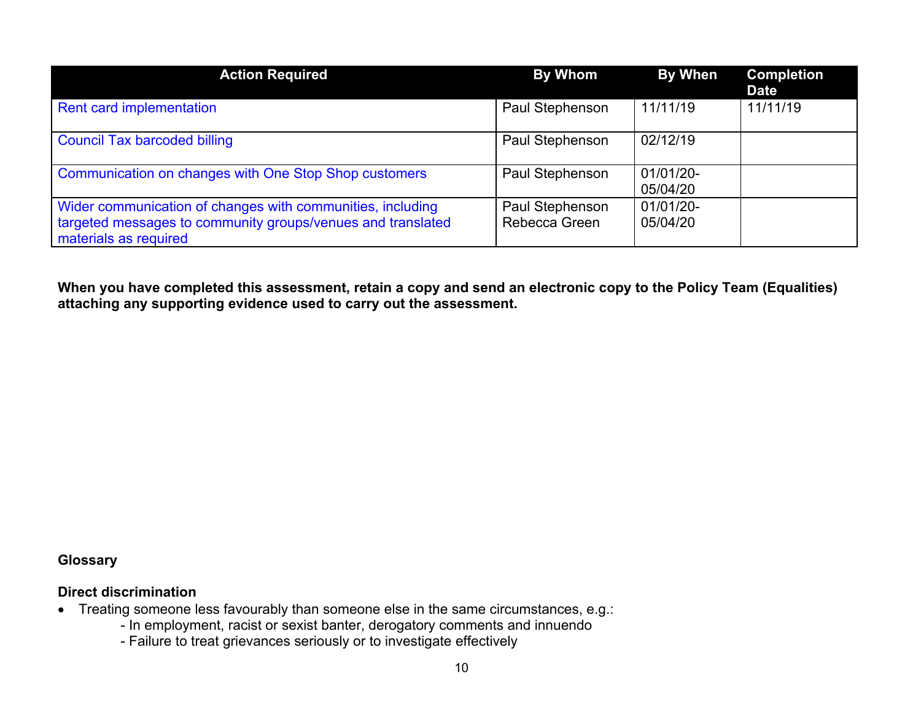| <b>Action Required</b>                                                                                                                             | <b>By Whom</b>                   | <b>By When</b>        | <b>Completion</b><br><b>Date</b> |
|----------------------------------------------------------------------------------------------------------------------------------------------------|----------------------------------|-----------------------|----------------------------------|
| Rent card implementation                                                                                                                           | Paul Stephenson                  | 11/11/19              | 11/11/19                         |
| <b>Council Tax barcoded billing</b>                                                                                                                | Paul Stephenson                  | 02/12/19              |                                  |
| Communication on changes with One Stop Shop customers                                                                                              | Paul Stephenson                  | 01/01/20-<br>05/04/20 |                                  |
| Wider communication of changes with communities, including<br>targeted messages to community groups/venues and translated<br>materials as required | Paul Stephenson<br>Rebecca Green | 01/01/20-<br>05/04/20 |                                  |

When you have completed this assessment, retain a copy and send an electronic copy to the Policy Team (Equalities) **attaching any supporting evidence used to carry out the assessment.**

## **Glossary**

#### **Direct discrimination**

- Treating someone less favourably than someone else in the same circumstances, e.g.:
	- In employment, racist or sexist banter, derogatory comments and innuendo
	- Failure to treat grievances seriously or to investigate effectively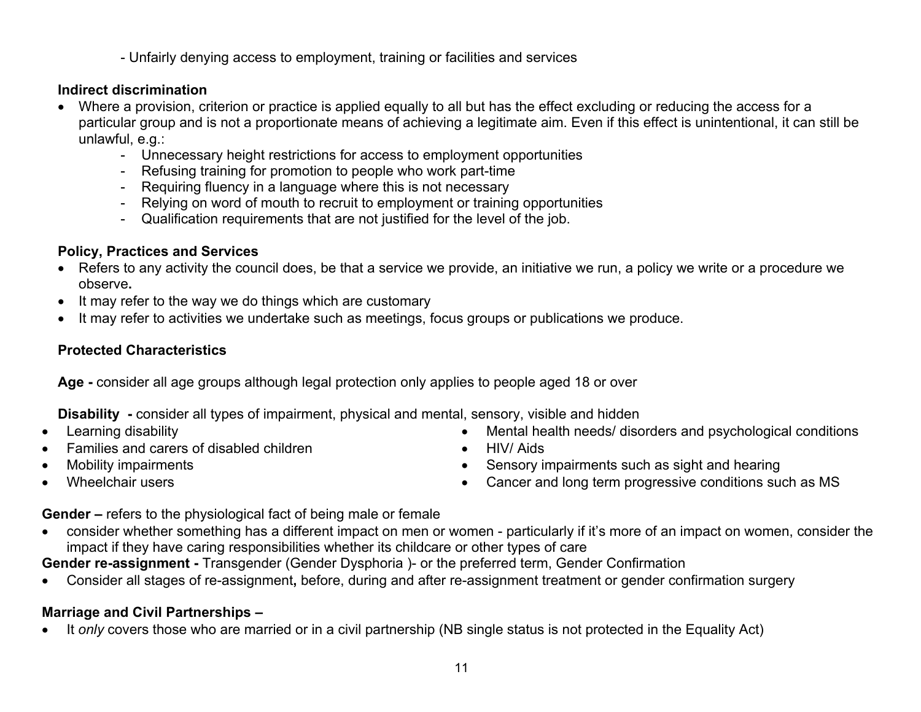- Unfairly denying access to employment, training or facilities and services

## **Indirect discrimination**

- Where a provision, criterion or practice is applied equally to all but has the effect excluding or reducing the access for a particular group and is not a proportionate means of achieving a legitimate aim. Even if this effect is unintentional, it can still be unlawful, e.g.:
	- Unnecessary height restrictions for access to employment opportunities
	- Refusing training for promotion to people who work part-time
	- Requiring fluency in a language where this is not necessary
	- Relying on word of mouth to recruit to employment or training opportunities
	- Qualification requirements that are not justified for the level of the job.

## **Policy, Practices and Services**

- Refers to any activity the council does, be that a service we provide, an initiative we run, a policy we write or a procedure we observe**.**
- It may refer to the way we do things which are customary
- It may refer to activities we undertake such as meetings, focus groups or publications we produce.

## **Protected Characteristics**

**Age -** consider all age groups although legal protection only applies to people aged 18 or over

**Disability -** consider all types of impairment, physical and mental, sensory, visible and hidden

- Learning disability
- Families and carers of disabled children
- Mobility impairments
- Wheelchair users
- Mental health needs/ disorders and psychological conditions
- HIV/ Aids
- Sensory impairments such as sight and hearing
- Cancer and long term progressive conditions such as MS

**Gender –** refers to the physiological fact of being male or female

 consider whether something has a different impact on men or women - particularly if it's more of an impact on women, consider the impact if they have caring responsibilities whether its childcare or other types of care

**Gender re-assignment -** Transgender (Gender Dysphoria )- or the preferred term, Gender Confirmation

Consider all stages of re-assignment**,** before, during and after re-assignment treatment or gender confirmation surgery

# **Marriage and Civil Partnerships –**

It *only* covers those who are married or in a civil partnership (NB single status is not protected in the Equality Act)